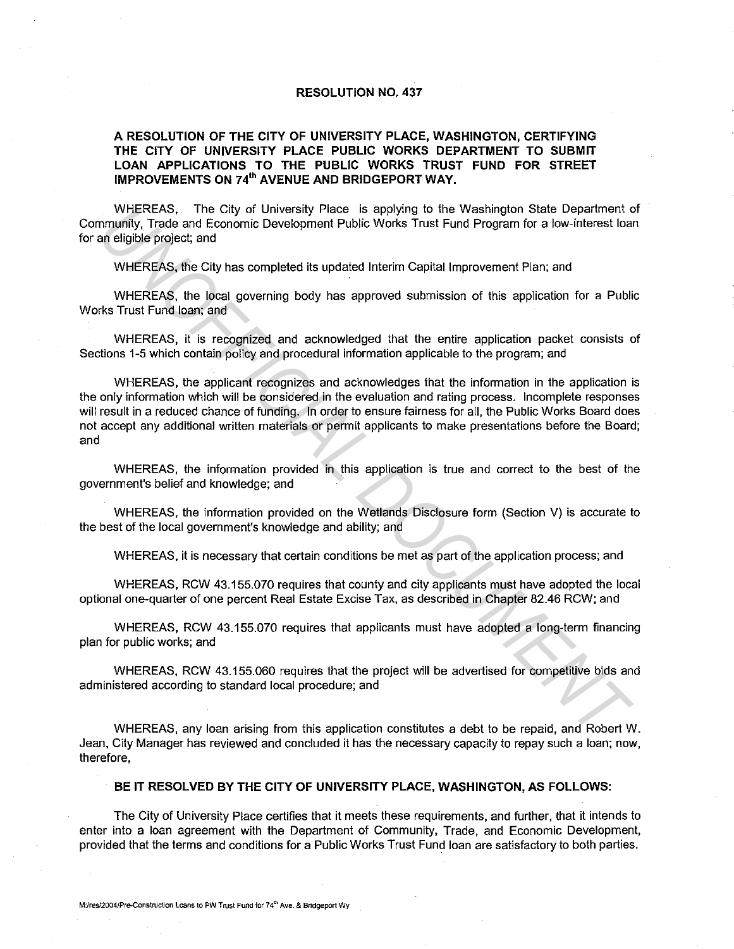## **RESOLUTION NO. 437**

## **A RESOLUTION OF THE CITY OF UNIVERSITY PLACE, WASHINGTON, CERTIFYING THE CITY OF UNIVERSITY PLACE PUBLIC WORKS DEPARTMENT TO SUBMIT LOAN APPLICATIONS TO THE PUBLIC WORKS TRUST FUND FOR STREET IMPROVEMENTS ON 74<sup>1</sup> " AVENUE AND BRIDGEPORT WAY.**

WHEREAS, The City of University Place is applying to the Washington State Department of Community, Trade and Economic Development Public Works Trust Fund Program for a low-interest loan for an eligible project; and

WHEREAS, the City has completed its updated Interim Capital Improvement Plan; and

WHEREAS, the local governing body has approved submission of this application for a Public Works Trust Fund loan; and

WHEREAS, it is recognized and acknowledged that the entire application packet consists of Sections 1-5 which contain policy and procedural information applicable to the program; and

WHEREAS, the applicant recognizes and acknowledges that the information in the application is the only information which will be considered in the evaluation and rating process. Incomplete responses will result in a reduced chance of funding. In order to ensure fairness for all, the Public Works Board does not accept any additional written materials or permit applicants to make presentations before the Board; and WHEREAS, The City of University Place is applying to the Washington State Department<br>
mrunifly, Trade and Economic Development Public Works Trust Fund Program for a low-interest load<br>
wHEREAS, the City has completed its up

WHEREAS, the information provided in this application is true and correct to the best of the government's belief and knowledge; and

WHEREAS, the information provided on the Wetlands Disclosure form (Section V) is accurate to the best of the local government's knowledge and ability; and

WHEREAS, it is necessary that certain conditions be met as part of the application process; and

WHEREAS, RCW 43.155.070 requires that county and city applicants must have adopted the local optional one-quarter of one percent Real Estate Excise Tax, as described in Chapter 82.46 RCW; and

WHEREAS, RCW 43.155.070 requires that applicants must have adopted a long-term financing plan for public works; and

WHEREAS, RCW 43.155.060 requires that the project will be advertised for competitive bids and administered according to standard local procedure; and

WHEREAS, any loan arising from this application constitutes a debt to be repaid, and Robert W. Jean, City Manager has reviewed and concluded it has the necessary capacity to repay such a loan; now, therefore,

## **BE IT RESOLVED BY THE CITY OF UNIVERSITY PLACE, WASHINGTON, AS FOLLOWS:**

The City of University Place certifies that it meets these requirements, and further, that it intends to enter into a loan agreement with the Department of Community, Trade, and Economic Development, provided that the terms and conditions for a Public Works Trust Fund loan are satisfactory to both parties.